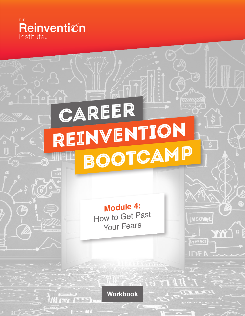

6

# CAREER REINVENTION Bootcamp

**Module 4:** How to Get Past Your Fears

NCOME

product

IDE

YYY

**Workbook**

 $\sim$  177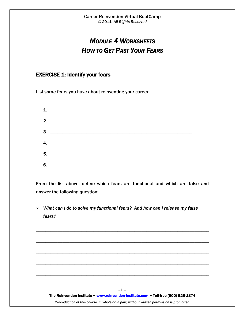# *MODULE 4 WORKSHEETS HOW TO GET PAST YOUR FEARS*

## EXERCISE 1: Identify your fears

List some fears you have about reinventing your career:

| $\mathbf{1}$ . |
|----------------|
|                |
|                |
|                |
| 5.             |
| 6.             |

From the list above, define which fears are functional and which are false and answer the following question:

 *What can I do to solve my functional fears? And how can I release my false fears?*



\_\_\_\_\_\_\_\_\_\_\_\_\_\_\_\_\_\_\_\_\_\_\_\_\_\_\_\_\_\_\_\_\_\_\_\_\_\_\_\_\_\_\_\_\_\_\_\_\_\_\_\_\_\_\_\_\_\_\_\_\_\_\_\_\_\_\_\_\_\_\_\_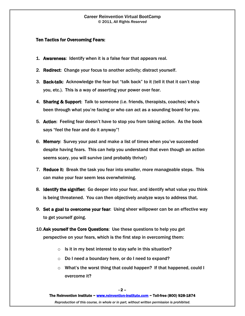#### Career Reinvention Virtual BootCamp © 2011, *All Rights Reserved*

#### Ten Tactics for Overcoming Fears:

- 1. Awareness: Identify when it is a false fear that appears real.
- 2. Redirect: Change your focus to another activity; distract yourself.
- 3. Back-talk: Acknowledge the fear but "talk back" to it (tell it that it can't stop you, etc.). This is a way of asserting your power over fear.
- 4. Sharing & Support: Talk to someone (i.e. friends, therapists, coaches) who's been through what you're facing or who can act as a sounding board for you.
- 5. Action: Feeling fear doesn't have to stop you from taking action. As the book says "feel the fear and do it anyway"!
- 6. Memory: Survey your past and make a list of times when you've succeeded despite having fears. This can help you understand that even though an action seems scary, you will survive (and probably thrive!)
- 7. Reduce it: Break the task you fear into smaller, more manageable steps. This can make your fear seem less overwhelming.
- 8. Identify the signifier: Go deeper into your fear, and identify what value you think is being threatened. You can then objectively analyze ways to address that.
- 9. Set a goal to overcome your fear: Using sheer willpower can be an effective way to get yourself going.
- 10.Ask yourself the Core Questions: Use these questions to help you get perspective on your fears, which is the first step in overcoming them:
	- $\circ$  Is it in my best interest to stay safe in this situation?
	- o Do I need a boundary here, or do I need to expand?
	- o What's the worst thing that could happen? If that happened, could I overcome it?

The Reinvention Institute ~ www.reinvention-institute.com ~ Toll-free (800) 928-1874

*Reproduction of this course, in whole or in part, without written permission is prohibited.*